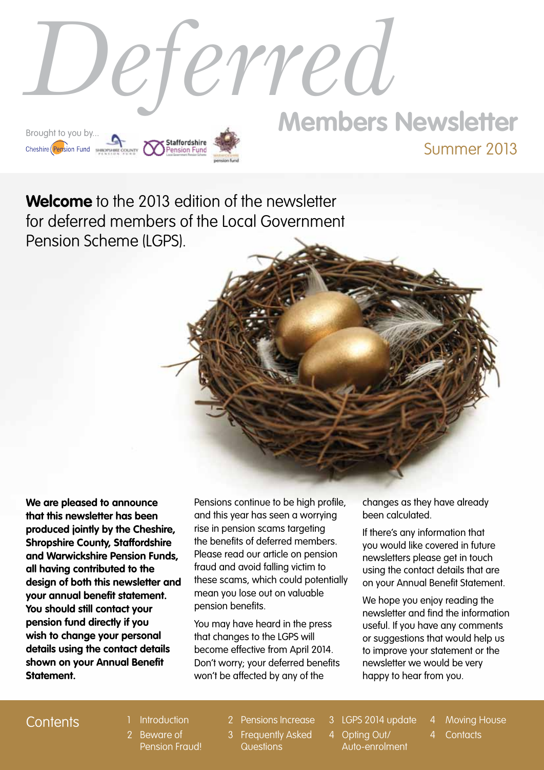

**Welcome** to the 2013 edition of the newsletter for deferred members of the Local Government Pension Scheme (LGPS).

**We are pleased to announce that this newsletter has been produced jointly by the Cheshire, Shropshire County, Staffordshire and Warwickshire Pension Funds, all having contributed to the design of both this newsletter and your annual benefit statement. You should still contact your pension fund directly if you wish to change your personal details using the contact details shown on your Annual Benefit Statement.**

Pensions continue to be high profile, and this year has seen a worrying rise in pension scams targeting the benefits of deferred members. Please read our article on pension fraud and avoid falling victim to these scams, which could potentially mean you lose out on valuable pension benefits.

You may have heard in the press that changes to the LGPS will become effective from April 2014. Don't worry; your deferred benefits won't be affected by any of the

changes as they have already been calculated.

If there's any information that you would like covered in future newsletters please get in touch using the contact details that are on your Annual Benefit Statement.

We hope you enjoy reading the newsletter and find the information useful. If you have any comments or suggestions that would help us to improve your statement or the newsletter we would be very happy to hear from you.

### Contents 1 Introduction

- 
- 2 Beware of Pension Fraud!
- 2 Pensions Increase
- 3 Frequently Asked **Questions**
- 3 LGPS 2014 update
- 4 Opting Out/ Auto-enrolment
- **Moving House**
- **Contacts**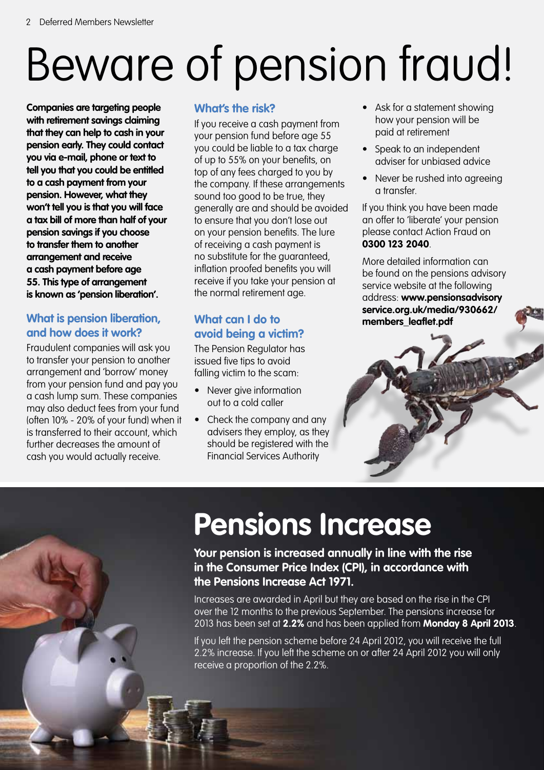# Beware of pension fraud!

**Companies are targeting people with retirement savings claiming that they can help to cash in your pension early. They could contact you via e-mail, phone or text to tell you that you could be entitled to a cash payment from your pension. However, what they won't tell you is that you will face a tax bill of more than half of your pension savings if you choose to transfer them to another arrangement and receive a cash payment before age 55. This type of arrangement is known as 'pension liberation'.**

### **What is pension liberation, and how does it work?**

Fraudulent companies will ask you to transfer your pension to another arrangement and 'borrow' money from your pension fund and pay you a cash lump sum. These companies may also deduct fees from your fund (often 10% - 20% of your fund) when it is transferred to their account, which further decreases the amount of cash you would actually receive.

### **What's the risk?**

If you receive a cash payment from your pension fund before age 55 you could be liable to a tax charge of up to 55% on your benefits, on top of any fees charged to you by the company. If these arrangements sound too good to be true, they generally are and should be avoided to ensure that you don't lose out on your pension benefits. The lure of receiving a cash payment is no substitute for the guaranteed, inflation proofed benefits you will receive if you take your pension at the normal retirement age.

### **What can I do to avoid being a victim?**

The Pension Regulator has issued five tips to avoid falling victim to the scam:

- Never give information out to a cold caller
- Check the company and any advisers they employ, as they should be registered with the Financial Services Authority
- Ask for a statement showing how your pension will be paid at retirement
- Speak to an independent adviser for unbiased advice
- Never be rushed into agreeing a transfer.

If you think you have been made an offer to 'liberate' your pension please contact Action Fraud on **0300 123 2040**.

More detailed information can be found on the pensions advisory service website at the following address: **www.pensionsadvisory service.org.uk/media/930662/ members\_leaflet.pdf**



# **Pensions Increase**

**Your pension is increased annually in line with the rise in the Consumer Price Index (CPI), in accordance with the Pensions Increase Act 1971.**

Increases are awarded in April but they are based on the rise in the CPI over the 12 months to the previous September. The pensions increase for 2013 has been set at **2.2%** and has been applied from **Monday 8 April 2013**.

If you left the pension scheme before 24 April 2012, you will receive the full 2.2% increase. If you left the scheme on or after 24 April 2012 you will only receive a proportion of the 2.2%.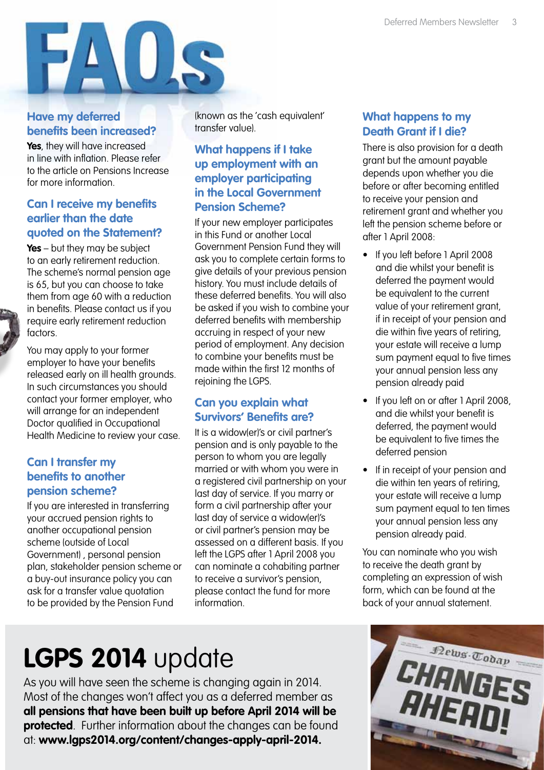

### **Have my deferred benefits been increased?**

**Yes**, they will have increased in line with inflation. Please refer to the article on Pensions Increase for more information.

#### **Can I receive my benefits earlier than the date quoted on the Statement?**

**Yes** – but they may be subject to an early retirement reduction. The scheme's normal pension age is 65, but you can choose to take them from age 60 with a reduction in benefits. Please contact us if you require early retirement reduction factors.

You may apply to your former employer to have your benefits released early on ill health grounds. In such circumstances you should contact your former employer, who will arrange for an independent Doctor qualified in Occupational Health Medicine to review your case.

#### **Can I transfer my benefits to another pension scheme?**

If you are interested in transferring your accrued pension rights to another occupational pension scheme (outside of Local Government) , personal pension plan, stakeholder pension scheme or a buy-out insurance policy you can ask for a transfer value quotation to be provided by the Pension Fund

(known as the 'cash equivalent' transfer value).

### **What happens if I take up employment with an employer participating in the Local Government Pension Scheme?**

If your new employer participates in this Fund or another Local Government Pension Fund they will ask you to complete certain forms to give details of your previous pension history. You must include details of these deferred benefits. You will also be asked if you wish to combine your deferred benefits with membership accruing in respect of your new period of employment. Any decision to combine your benefits must be made within the first 12 months of rejoining the LGPS.

### **Can you explain what Survivors' Benefits are?**

It is a widow(er)'s or civil partner's pension and is only payable to the person to whom you are legally married or with whom you were in a registered civil partnership on your last day of service. If you marry or form a civil partnership after your last day of service a widow(er)'s or civil partner's pension may be assessed on a different basis. If you left the LGPS after 1 April 2008 you can nominate a cohabiting partner to receive a survivor's pension, please contact the fund for more information.

### **What happens to my Death Grant if I die?**

There is also provision for a death grant but the amount payable depends upon whether you die before or after becoming entitled to receive your pension and retirement grant and whether you left the pension scheme before or after 1 April 2008:

- If you left before 1 April 2008 and die whilst your benefit is deferred the payment would be equivalent to the current value of your retirement grant, if in receipt of your pension and die within five years of retiring, your estate will receive a lump sum payment equal to five times your annual pension less any pension already paid
- If you left on or after 1 April 2008, and die whilst your benefit is deferred, the payment would be equivalent to five times the deferred pension
- If in receipt of your pension and die within ten years of retiring, your estate will receive a lump sum payment equal to ten times your annual pension less any pension already paid.

You can nominate who you wish to receive the death grant by completing an expression of wish form, which can be found at the back of your annual statement.

# **LGPS 2014** update

As you will have seen the scheme is changing again in 2014. Most of the changes won't affect you as a deferred member as **all pensions that have been built up before April 2014 will be protected**. Further information about the changes can be found at: **[www.lgps2014.org/content/changes-apply-april-2014.](http://lgps2014.org/content/changes-apply-april-2014)**